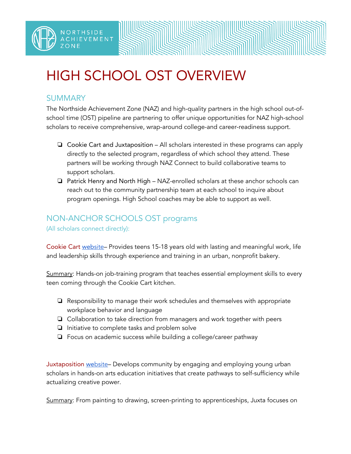## HIGH SCHOOL OST OVERVIEW

## SUMMARY

NORTHSIDE

IEVEMENT

The Northside Achievement Zone (NAZ) and high-quality partners in the high school out-ofschool time (OST) pipeline are partnering to offer unique opportunities for NAZ high-school scholars to receive comprehensive, wrap-around college-and career-readiness support.

- ❏ Cookie Cart and Juxtaposition All scholars interested in these programs can apply directly to the selected program, regardless of which school they attend. These partners will be working through NAZ Connect to build collaborative teams to support scholars.
- ❏ Patrick Henry and North High NAZ-enrolled scholars at these anchor schools can reach out to the community partnership team at each school to inquire about program openings. High School coaches may be able to support as well.

## NON-ANCHOR SCHOOLS OST programs

(All scholars connect directly):

Cookie Cart [web](http://cookiecart.org/youth-program/)[site–](http://cookiecart.org/youth-program/) Provides teens 15-18 years old with lasting and meaningful work, life and leadership skills through experience and training in an urban, nonprofit bakery.

Summary: Hands-on job-training program that teaches essential employment skills to every teen coming through the Cookie Cart kitchen.

- ❏ Responsibility to manage their work schedules and themselves with appropriate workplace behavior and language
- ❏ Collaboration to take direction from managers and work together with peers
- ❏ Initiative to complete tasks and problem solve
- ❏ Focus on academic success while building a college/career pathway

Juxtaposition [we](http://juxtapositionarts.org/programs/for-students-2/)[bsite](http://juxtapositionarts.org/programs/for-students-2/)– Develops community by engaging and employing young urban scholars in hands-on arts education initiatives that create pathways to self-sufficiency while actualizing creative power.

Summary: From painting to drawing, screen-printing to apprenticeships, Juxta focuses on